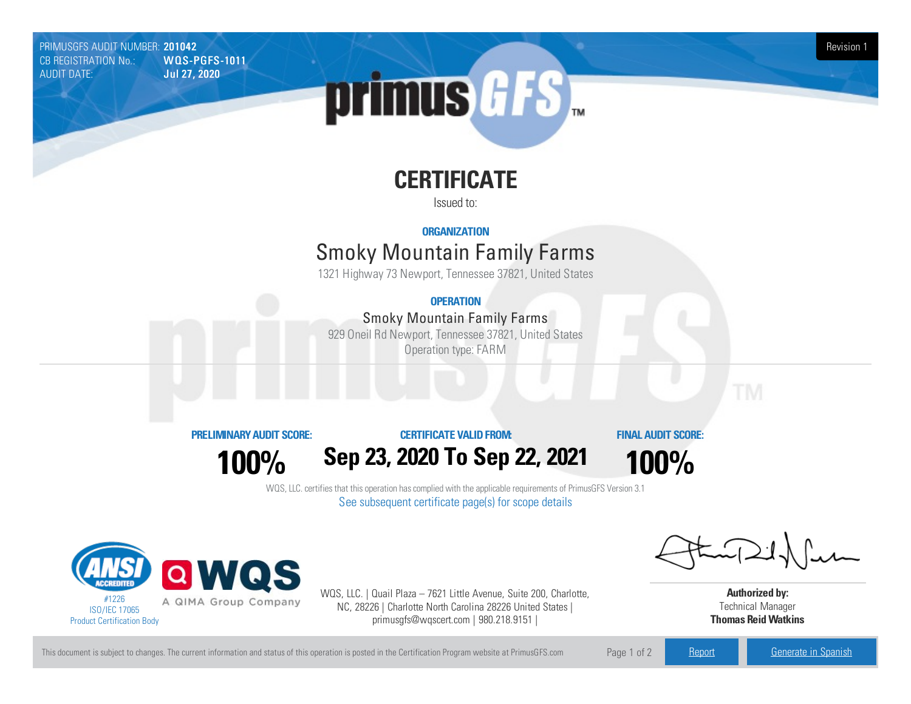PRIMUSGFS AUDIT NUMBER: 201042 Revision 1<br>CB REGISTRATION No.: WOLS-PGFS-1011 Revision 1 CB REGISTRATION No.:<br>AUDIT DATE: **Jul 27, 2020** 

# primus GFS

# **CERTIFICATE**

Issued to:

## **ORGANIZATION**

# **Smoky Mountain Family Farms**

1321 Highway 73 Newport, Tennessee 37821, United States

## **OPERATION**

## Smoky Mountain Family Farms

929 Oneil Rd Newport, Tennessee 37821, United States Operation type: FARM



#### **CERTIFICATE VALIDFROM:**

**FINAL AUDIT SCORE:**

**100%**

**Sep 23, 2020 To Sep 22, 2021**

**100%**

WQS, LLC. certifies that this operation has complied with the applicable requirements of PrimusGFS Version 3.1 See subsequent certificate page(s) for scope details



WQS, LLC. | Quail Plaza – 7621 Little Avenue, Suite 200, Charlotte, NC, 28226 | Charlotte North Carolina 28226 United States | primusgfs@wqscert.com | 980.218.9151 |

**Authorized by:** Technical Manager **Thomas ReidWatkins**

This document is subject to changes. The current information and status of this operation is posted in the Certification Program website at PrimusGFS.com Page 1 of 2 [Report](https://secure.azzule.com/PGFSDocuments/PGFS_AuditReport201042_6712_0_EN.pdf) [Generate](https://secure.azzule.com/PrimusGFSAudits/pdfGenerator.aspx?AuditHeaderID=86632484437845435098577264334064988486658&AppId=89167044349&LanguageID=1&UserId=1) in Spanish